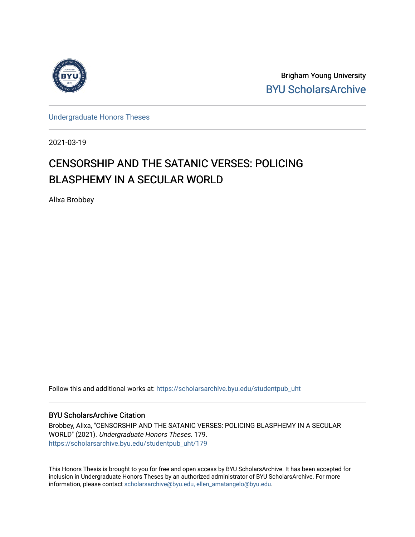

Brigham Young University [BYU ScholarsArchive](https://scholarsarchive.byu.edu/) 

[Undergraduate Honors Theses](https://scholarsarchive.byu.edu/studentpub_uht) 

2021-03-19

# CENSORSHIP AND THE SATANIC VERSES: POLICING BLASPHEMY IN A SECULAR WORLD

Alixa Brobbey

Follow this and additional works at: [https://scholarsarchive.byu.edu/studentpub\\_uht](https://scholarsarchive.byu.edu/studentpub_uht?utm_source=scholarsarchive.byu.edu%2Fstudentpub_uht%2F179&utm_medium=PDF&utm_campaign=PDFCoverPages) 

#### BYU ScholarsArchive Citation

Brobbey, Alixa, "CENSORSHIP AND THE SATANIC VERSES: POLICING BLASPHEMY IN A SECULAR WORLD" (2021). Undergraduate Honors Theses. 179. [https://scholarsarchive.byu.edu/studentpub\\_uht/179](https://scholarsarchive.byu.edu/studentpub_uht/179?utm_source=scholarsarchive.byu.edu%2Fstudentpub_uht%2F179&utm_medium=PDF&utm_campaign=PDFCoverPages)

This Honors Thesis is brought to you for free and open access by BYU ScholarsArchive. It has been accepted for inclusion in Undergraduate Honors Theses by an authorized administrator of BYU ScholarsArchive. For more information, please contact [scholarsarchive@byu.edu, ellen\\_amatangelo@byu.edu.](mailto:scholarsarchive@byu.edu,%20ellen_amatangelo@byu.edu)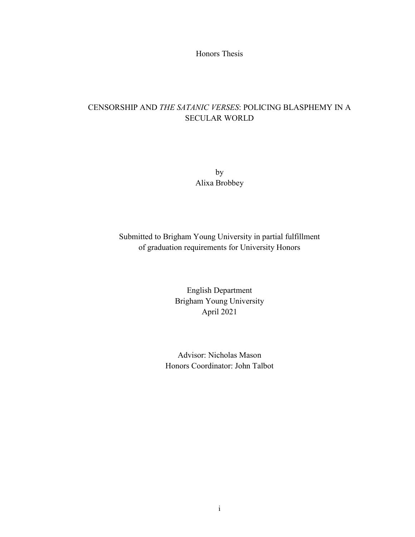Honors Thesis

# CENSORSHIP AND *THE SATANIC VERSES*: POLICING BLASPHEMY IN A SECULAR WORLD

by Alixa Brobbey

Submitted to Brigham Young University in partial fulfillment of graduation requirements for University Honors

> English Department Brigham Young University April 2021

Advisor: Nicholas Mason Honors Coordinator: John Talbot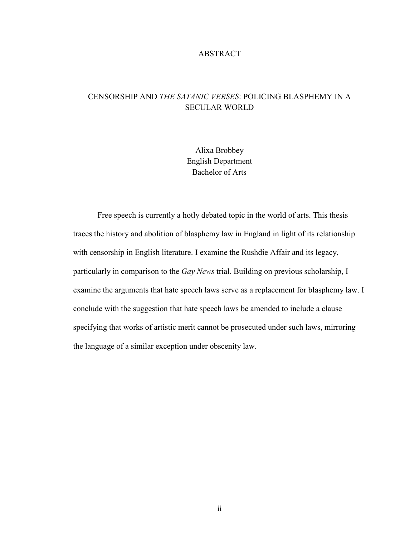### ABSTRACT

## CENSORSHIP AND *THE SATANIC VERSES*: POLICING BLASPHEMY IN A SECULAR WORLD

Alixa Brobbey English Department Bachelor of Arts

Free speech is currently a hotly debated topic in the world of arts. This thesis traces the history and abolition of blasphemy law in England in light of its relationship with censorship in English literature. I examine the Rushdie Affair and its legacy, particularly in comparison to the *Gay News* trial. Building on previous scholarship, I examine the arguments that hate speech laws serve as a replacement for blasphemy law. I conclude with the suggestion that hate speech laws be amended to include a clause specifying that works of artistic merit cannot be prosecuted under such laws, mirroring the language of a similar exception under obscenity law.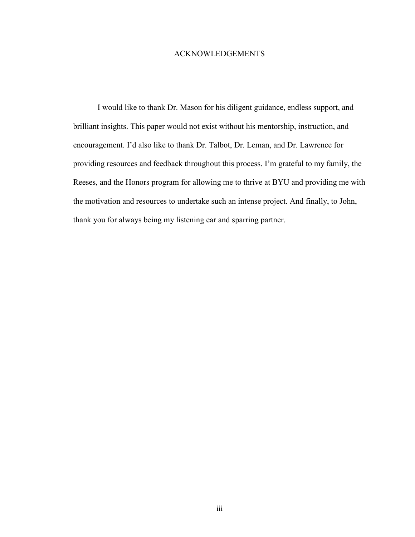### ACKNOWLEDGEMENTS

I would like to thank Dr. Mason for his diligent guidance, endless support, and brilliant insights. This paper would not exist without his mentorship, instruction, and encouragement. I'd also like to thank Dr. Talbot, Dr. Leman, and Dr. Lawrence for providing resources and feedback throughout this process. I'm grateful to my family, the Reeses, and the Honors program for allowing me to thrive at BYU and providing me with the motivation and resources to undertake such an intense project. And finally, to John, thank you for always being my listening ear and sparring partner.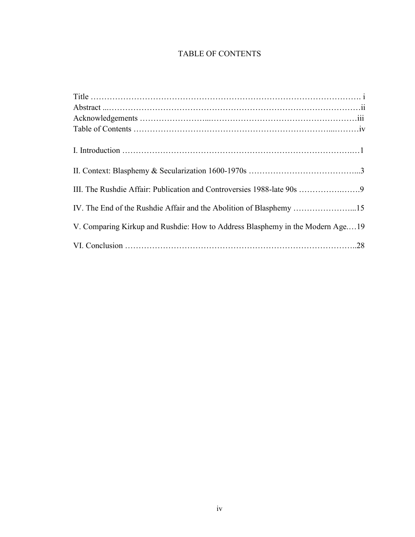# TABLE OF CONTENTS

| III. The Rushdie Affair: Publication and Controversies 1988-late 90s 9        |
|-------------------------------------------------------------------------------|
| IV. The End of the Rushdie Affair and the Abolition of Blasphemy 15           |
| V. Comparing Kirkup and Rushdie: How to Address Blasphemy in the Modern Age19 |
|                                                                               |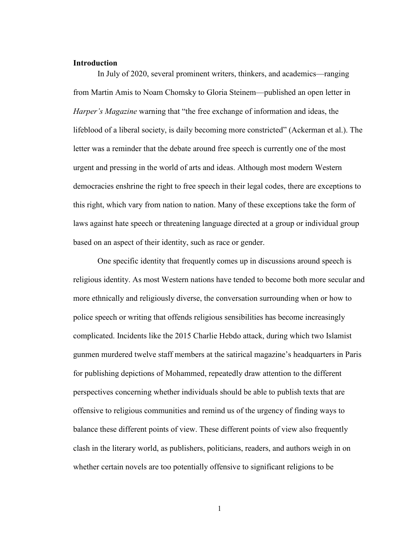### **Introduction**

In July of 2020, several prominent writers, thinkers, and academics—ranging from Martin Amis to Noam Chomsky to Gloria Steinem—published an open letter in *Harper's Magazine* warning that "the free exchange of information and ideas, the lifeblood of a liberal society, is daily becoming more constricted" (Ackerman et al.). The letter was a reminder that the debate around free speech is currently one of the most urgent and pressing in the world of arts and ideas. Although most modern Western democracies enshrine the right to free speech in their legal codes, there are exceptions to this right, which vary from nation to nation. Many of these exceptions take the form of laws against hate speech or threatening language directed at a group or individual group based on an aspect of their identity, such as race or gender.

One specific identity that frequently comes up in discussions around speech is religious identity. As most Western nations have tended to become both more secular and more ethnically and religiously diverse, the conversation surrounding when or how to police speech or writing that offends religious sensibilities has become increasingly complicated. Incidents like the 2015 Charlie Hebdo attack, during which two Islamist gunmen murdered twelve staff members at the satirical magazine's headquarters in Paris for publishing depictions of Mohammed, repeatedly draw attention to the different perspectives concerning whether individuals should be able to publish texts that are offensive to religious communities and remind us of the urgency of finding ways to balance these different points of view. These different points of view also frequently clash in the literary world, as publishers, politicians, readers, and authors weigh in on whether certain novels are too potentially offensive to significant religions to be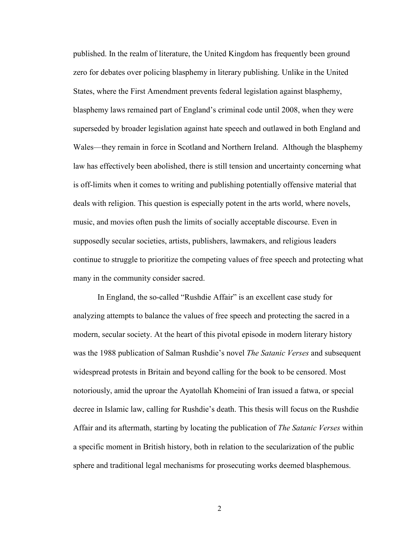published. In the realm of literature, the United Kingdom has frequently been ground zero for debates over policing blasphemy in literary publishing. Unlike in the United States, where the First Amendment prevents federal legislation against blasphemy, blasphemy laws remained part of England's criminal code until 2008, when they were superseded by broader legislation against hate speech and outlawed in both England and Wales—they remain in force in Scotland and Northern Ireland. Although the blasphemy law has effectively been abolished, there is still tension and uncertainty concerning what is off-limits when it comes to writing and publishing potentially offensive material that deals with religion. This question is especially potent in the arts world, where novels, music, and movies often push the limits of socially acceptable discourse. Even in supposedly secular societies, artists, publishers, lawmakers, and religious leaders continue to struggle to prioritize the competing values of free speech and protecting what many in the community consider sacred.

In England, the so-called "Rushdie Affair" is an excellent case study for analyzing attempts to balance the values of free speech and protecting the sacred in a modern, secular society. At the heart of this pivotal episode in modern literary history was the 1988 publication of Salman Rushdie's novel *The Satanic Verses* and subsequent widespread protests in Britain and beyond calling for the book to be censored. Most notoriously, amid the uproar the Ayatollah Khomeini of Iran issued a fatwa, or special decree in Islamic law, calling for Rushdie's death. This thesis will focus on the Rushdie Affair and its aftermath, starting by locating the publication of *The Satanic Verses* within a specific moment in British history, both in relation to the secularization of the public sphere and traditional legal mechanisms for prosecuting works deemed blasphemous.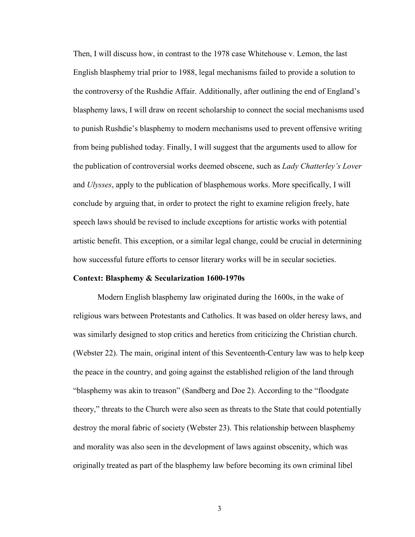Then, I will discuss how, in contrast to the 1978 case Whitehouse v. Lemon, the last English blasphemy trial prior to 1988, legal mechanisms failed to provide a solution to the controversy of the Rushdie Affair. Additionally, after outlining the end of England's blasphemy laws, I will draw on recent scholarship to connect the social mechanisms used to punish Rushdie's blasphemy to modern mechanisms used to prevent offensive writing from being published today. Finally, I will suggest that the arguments used to allow for the publication of controversial works deemed obscene, such as *Lady Chatterley's Lover*  and *Ulysses*, apply to the publication of blasphemous works. More specifically, I will conclude by arguing that, in order to protect the right to examine religion freely, hate speech laws should be revised to include exceptions for artistic works with potential artistic benefit. This exception, or a similar legal change, could be crucial in determining how successful future efforts to censor literary works will be in secular societies.

#### **Context: Blasphemy & Secularization 1600-1970s**

Modern English blasphemy law originated during the 1600s, in the wake of religious wars between Protestants and Catholics. It was based on older heresy laws, and was similarly designed to stop critics and heretics from criticizing the Christian church. (Webster 22). The main, original intent of this Seventeenth-Century law was to help keep the peace in the country, and going against the established religion of the land through "blasphemy was akin to treason" (Sandberg and Doe 2). According to the "floodgate theory," threats to the Church were also seen as threats to the State that could potentially destroy the moral fabric of society (Webster 23). This relationship between blasphemy and morality was also seen in the development of laws against obscenity, which was originally treated as part of the blasphemy law before becoming its own criminal libel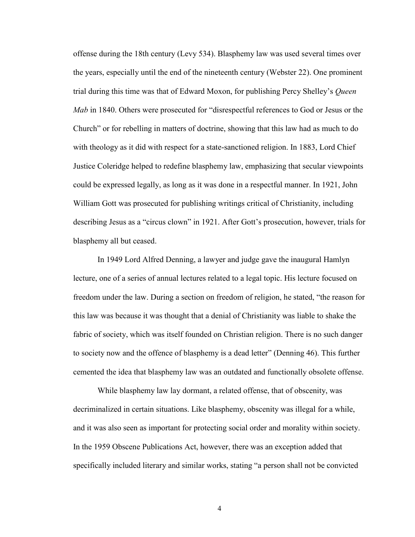offense during the 18th century (Levy 534). Blasphemy law was used several times over the years, especially until the end of the nineteenth century (Webster 22). One prominent trial during this time was that of Edward Moxon, for publishing Percy Shelley's *Queen Mab* in 1840. Others were prosecuted for "disrespectful references to God or Jesus or the Church" or for rebelling in matters of doctrine, showing that this law had as much to do with theology as it did with respect for a state-sanctioned religion. In 1883, Lord Chief Justice Coleridge helped to redefine blasphemy law, emphasizing that secular viewpoints could be expressed legally, as long as it was done in a respectful manner. In 1921, John William Gott was prosecuted for publishing writings critical of Christianity, including describing Jesus as a "circus clown" in 1921. After Gott's prosecution, however, trials for blasphemy all but ceased.

In 1949 Lord Alfred Denning, a lawyer and judge gave the inaugural Hamlyn lecture, one of a series of annual lectures related to a legal topic. His lecture focused on freedom under the law. During a section on freedom of religion, he stated, "the reason for this law was because it was thought that a denial of Christianity was liable to shake the fabric of society, which was itself founded on Christian religion. There is no such danger to society now and the offence of blasphemy is a dead letter" (Denning 46). This further cemented the idea that blasphemy law was an outdated and functionally obsolete offense.

While blasphemy law lay dormant, a related offense, that of obscenity, was decriminalized in certain situations. Like blasphemy, obscenity was illegal for a while, and it was also seen as important for protecting social order and morality within society. In the 1959 Obscene Publications Act, however, there was an exception added that specifically included literary and similar works, stating "a person shall not be convicted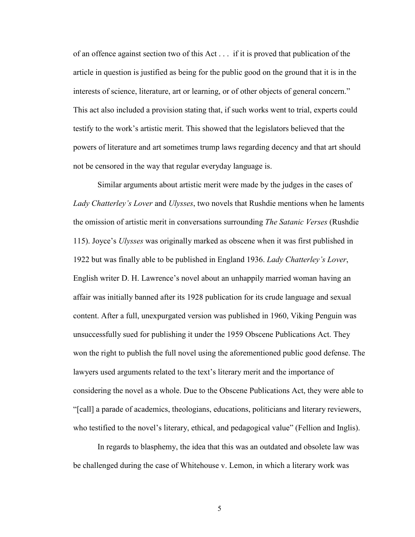of an offence against section two of this Act . . . if it is proved that publication of the article in question is justified as being for the public good on the ground that it is in the interests of science, literature, art or learning, or of other objects of general concern." This act also included a provision stating that, if such works went to trial, experts could testify to the work's artistic merit. This showed that the legislators believed that the powers of literature and art sometimes trump laws regarding decency and that art should not be censored in the way that regular everyday language is.

Similar arguments about artistic merit were made by the judges in the cases of *Lady Chatterley's Lover* and *Ulysses*, two novels that Rushdie mentions when he laments the omission of artistic merit in conversations surrounding *The Satanic Verses* (Rushdie 115). Joyce's *Ulysses* was originally marked as obscene when it was first published in 1922 but was finally able to be published in England 1936. *Lady Chatterley's Lover*, English writer D. H. Lawrence's novel about an unhappily married woman having an affair was initially banned after its 1928 publication for its crude language and sexual content. After a full, unexpurgated version was published in 1960, Viking Penguin was unsuccessfully sued for publishing it under the 1959 Obscene Publications Act. They won the right to publish the full novel using the aforementioned public good defense. The lawyers used arguments related to the text's literary merit and the importance of considering the novel as a whole. Due to the Obscene Publications Act, they were able to "[call] a parade of academics, theologians, educations, politicians and literary reviewers, who testified to the novel's literary, ethical, and pedagogical value" (Fellion and Inglis).

In regards to blasphemy, the idea that this was an outdated and obsolete law was be challenged during the case of Whitehouse v. Lemon, in which a literary work was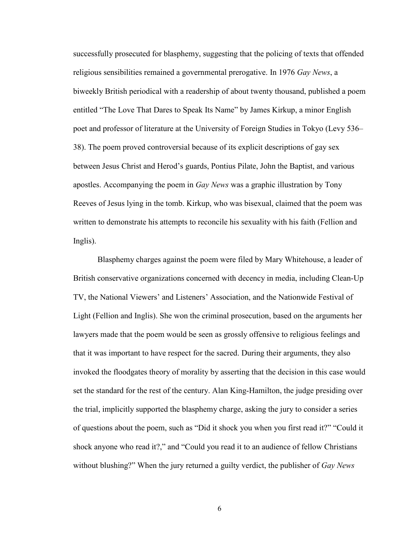successfully prosecuted for blasphemy, suggesting that the policing of texts that offended religious sensibilities remained a governmental prerogative. In 1976 *Gay News*, a biweekly British periodical with a readership of about twenty thousand, published a poem entitled "The Love That Dares to Speak Its Name" by James Kirkup, a minor English poet and professor of literature at the University of Foreign Studies in Tokyo (Levy 536– 38). The poem proved controversial because of its explicit descriptions of gay sex between Jesus Christ and Herod's guards, Pontius Pilate, John the Baptist, and various apostles. Accompanying the poem in *Gay News* was a graphic illustration by Tony Reeves of Jesus lying in the tomb. Kirkup, who was bisexual, claimed that the poem was written to demonstrate his attempts to reconcile his sexuality with his faith (Fellion and Inglis).

Blasphemy charges against the poem were filed by Mary Whitehouse, a leader of British conservative organizations concerned with decency in media, including Clean-Up TV, the National Viewers' and Listeners' Association, and the Nationwide Festival of Light (Fellion and Inglis). She won the criminal prosecution, based on the arguments her lawyers made that the poem would be seen as grossly offensive to religious feelings and that it was important to have respect for the sacred. During their arguments, they also invoked the floodgates theory of morality by asserting that the decision in this case would set the standard for the rest of the century. Alan King-Hamilton, the judge presiding over the trial, implicitly supported the blasphemy charge, asking the jury to consider a series of questions about the poem, such as "Did it shock you when you first read it?" "Could it shock anyone who read it?," and "Could you read it to an audience of fellow Christians without blushing?" When the jury returned a guilty verdict, the publisher of *Gay News*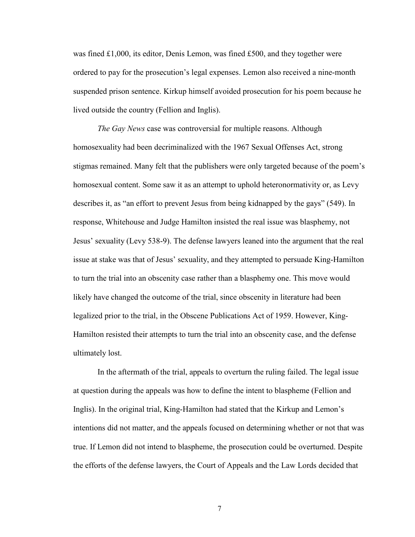was fined £1,000, its editor, Denis Lemon, was fined £500, and they together were ordered to pay for the prosecution's legal expenses. Lemon also received a nine-month suspended prison sentence. Kirkup himself avoided prosecution for his poem because he lived outside the country (Fellion and Inglis).

*The Gay News* case was controversial for multiple reasons. Although homosexuality had been decriminalized with the 1967 Sexual Offenses Act, strong stigmas remained. Many felt that the publishers were only targeted because of the poem's homosexual content. Some saw it as an attempt to uphold heteronormativity or, as Levy describes it, as "an effort to prevent Jesus from being kidnapped by the gays" (549). In response, Whitehouse and Judge Hamilton insisted the real issue was blasphemy, not Jesus' sexuality (Levy 538-9). The defense lawyers leaned into the argument that the real issue at stake was that of Jesus' sexuality, and they attempted to persuade King-Hamilton to turn the trial into an obscenity case rather than a blasphemy one. This move would likely have changed the outcome of the trial, since obscenity in literature had been legalized prior to the trial, in the Obscene Publications Act of 1959. However, King-Hamilton resisted their attempts to turn the trial into an obscenity case, and the defense ultimately lost.

In the aftermath of the trial, appeals to overturn the ruling failed. The legal issue at question during the appeals was how to define the intent to blaspheme (Fellion and Inglis). In the original trial, King-Hamilton had stated that the Kirkup and Lemon's intentions did not matter, and the appeals focused on determining whether or not that was true. If Lemon did not intend to blaspheme, the prosecution could be overturned. Despite the efforts of the defense lawyers, the Court of Appeals and the Law Lords decided that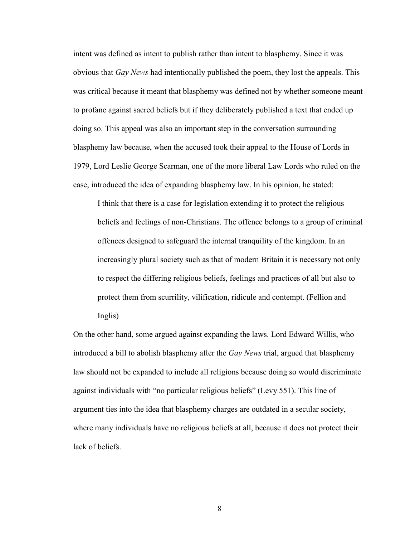intent was defined as intent to publish rather than intent to blasphemy. Since it was obvious that *Gay News* had intentionally published the poem, they lost the appeals. This was critical because it meant that blasphemy was defined not by whether someone meant to profane against sacred beliefs but if they deliberately published a text that ended up doing so. This appeal was also an important step in the conversation surrounding blasphemy law because, when the accused took their appeal to the House of Lords in 1979, Lord Leslie George Scarman, one of the more liberal Law Lords who ruled on the case, introduced the idea of expanding blasphemy law. In his opinion, he stated:

I think that there is a case for legislation extending it to protect the religious beliefs and feelings of non-Christians. The offence belongs to a group of criminal offences designed to safeguard the internal tranquility of the kingdom. In an increasingly plural society such as that of modern Britain it is necessary not only to respect the differing religious beliefs, feelings and practices of all but also to protect them from scurrility, vilification, ridicule and contempt. (Fellion and Inglis)

On the other hand, some argued against expanding the laws. Lord Edward Willis, who introduced a bill to abolish blasphemy after the *Gay News* trial, argued that blasphemy law should not be expanded to include all religions because doing so would discriminate against individuals with "no particular religious beliefs" (Levy 551). This line of argument ties into the idea that blasphemy charges are outdated in a secular society, where many individuals have no religious beliefs at all, because it does not protect their lack of beliefs.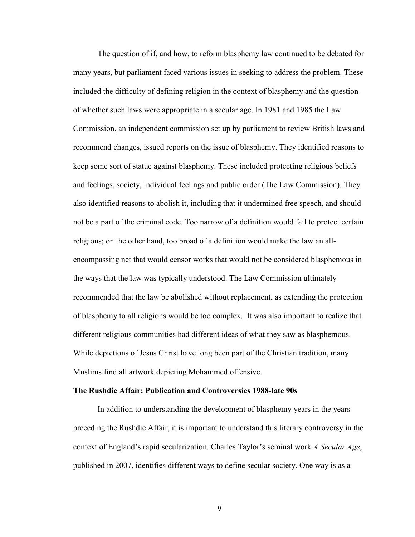The question of if, and how, to reform blasphemy law continued to be debated for many years, but parliament faced various issues in seeking to address the problem. These included the difficulty of defining religion in the context of blasphemy and the question of whether such laws were appropriate in a secular age. In 1981 and 1985 the Law Commission, an independent commission set up by parliament to review British laws and recommend changes, issued reports on the issue of blasphemy. They identified reasons to keep some sort of statue against blasphemy. These included protecting religious beliefs and feelings, society, individual feelings and public order (The Law Commission). They also identified reasons to abolish it, including that it undermined free speech, and should not be a part of the criminal code. Too narrow of a definition would fail to protect certain religions; on the other hand, too broad of a definition would make the law an allencompassing net that would censor works that would not be considered blasphemous in the ways that the law was typically understood. The Law Commission ultimately recommended that the law be abolished without replacement, as extending the protection of blasphemy to all religions would be too complex. It was also important to realize that different religious communities had different ideas of what they saw as blasphemous. While depictions of Jesus Christ have long been part of the Christian tradition, many Muslims find all artwork depicting Mohammed offensive.

#### **The Rushdie Affair: Publication and Controversies 1988-late 90s**

In addition to understanding the development of blasphemy years in the years preceding the Rushdie Affair, it is important to understand this literary controversy in the context of England's rapid secularization. Charles Taylor's seminal work *A Secular Age*, published in 2007, identifies different ways to define secular society. One way is as a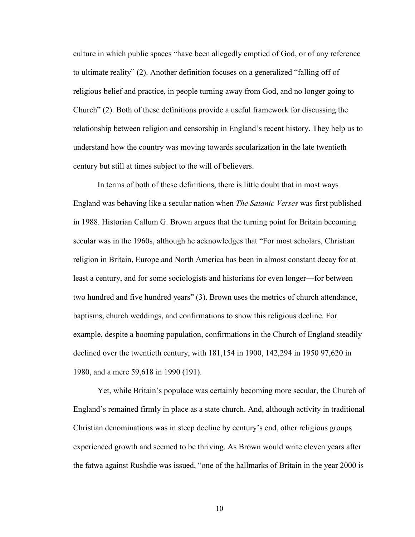culture in which public spaces "have been allegedly emptied of God, or of any reference to ultimate reality" (2). Another definition focuses on a generalized "falling off of religious belief and practice, in people turning away from God, and no longer going to Church" (2). Both of these definitions provide a useful framework for discussing the relationship between religion and censorship in England's recent history. They help us to understand how the country was moving towards secularization in the late twentieth century but still at times subject to the will of believers.

In terms of both of these definitions, there is little doubt that in most ways England was behaving like a secular nation when *The Satanic Verses* was first published in 1988. Historian Callum G. Brown argues that the turning point for Britain becoming secular was in the 1960s, although he acknowledges that "For most scholars, Christian religion in Britain, Europe and North America has been in almost constant decay for at least a century, and for some sociologists and historians for even longer—for between two hundred and five hundred years" (3). Brown uses the metrics of church attendance, baptisms, church weddings, and confirmations to show this religious decline. For example, despite a booming population, confirmations in the Church of England steadily declined over the twentieth century, with 181,154 in 1900, 142,294 in 1950 97,620 in 1980, and a mere 59,618 in 1990 (191).

Yet, while Britain's populace was certainly becoming more secular, the Church of England's remained firmly in place as a state church. And, although activity in traditional Christian denominations was in steep decline by century's end, other religious groups experienced growth and seemed to be thriving. As Brown would write eleven years after the fatwa against Rushdie was issued, "one of the hallmarks of Britain in the year 2000 is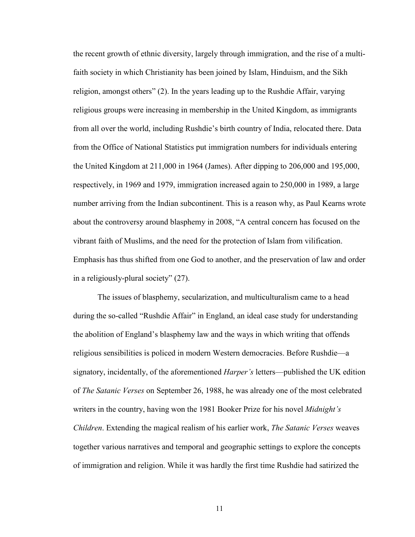the recent growth of ethnic diversity, largely through immigration, and the rise of a multifaith society in which Christianity has been joined by Islam, Hinduism, and the Sikh religion, amongst others" (2). In the years leading up to the Rushdie Affair, varying religious groups were increasing in membership in the United Kingdom, as immigrants from all over the world, including Rushdie's birth country of India, relocated there. Data from the Office of National Statistics put immigration numbers for individuals entering the United Kingdom at 211,000 in 1964 (James). After dipping to 206,000 and 195,000, respectively, in 1969 and 1979, immigration increased again to 250,000 in 1989, a large number arriving from the Indian subcontinent. This is a reason why, as Paul Kearns wrote about the controversy around blasphemy in 2008, "A central concern has focused on the vibrant faith of Muslims, and the need for the protection of Islam from vilification. Emphasis has thus shifted from one God to another, and the preservation of law and order in a religiously-plural society" (27).

The issues of blasphemy, secularization, and multiculturalism came to a head during the so-called "Rushdie Affair" in England, an ideal case study for understanding the abolition of England's blasphemy law and the ways in which writing that offends religious sensibilities is policed in modern Western democracies. Before Rushdie—a signatory, incidentally, of the aforementioned *Harper's* letters—published the UK edition of *The Satanic Verses* on September 26, 1988, he was already one of the most celebrated writers in the country, having won the 1981 Booker Prize for his novel *Midnight's Children*. Extending the magical realism of his earlier work, *The Satanic Verses* weaves together various narratives and temporal and geographic settings to explore the concepts of immigration and religion. While it was hardly the first time Rushdie had satirized the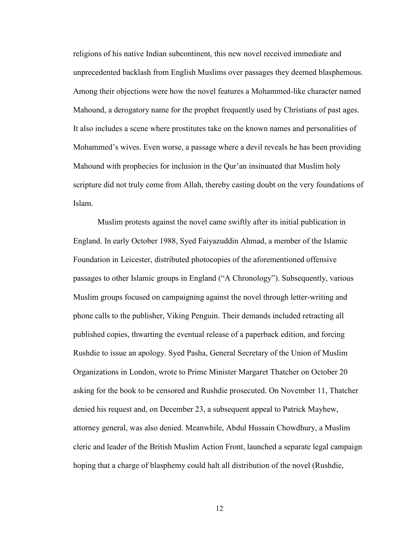religions of his native Indian subcontinent, this new novel received immediate and unprecedented backlash from English Muslims over passages they deemed blasphemous. Among their objections were how the novel features a Mohammed-like character named Mahound, a derogatory name for the prophet frequently used by Christians of past ages. It also includes a scene where prostitutes take on the known names and personalities of Mohammed's wives. Even worse, a passage where a devil reveals he has been providing Mahound with prophecies for inclusion in the Qur'an insinuated that Muslim holy scripture did not truly come from Allah, thereby casting doubt on the very foundations of Islam.

Muslim protests against the novel came swiftly after its initial publication in England. In early October 1988, Syed Faiyazuddin Ahmad, a member of the Islamic Foundation in Leicester, distributed photocopies of the aforementioned offensive passages to other Islamic groups in England ("A Chronology"). Subsequently, various Muslim groups focused on campaigning against the novel through letter-writing and phone calls to the publisher, Viking Penguin. Their demands included retracting all published copies, thwarting the eventual release of a paperback edition, and forcing Rushdie to issue an apology. Syed Pasha, General Secretary of the Union of Muslim Organizations in London, wrote to Prime Minister Margaret Thatcher on October 20 asking for the book to be censored and Rushdie prosecuted. On November 11, Thatcher denied his request and, on December 23, a subsequent appeal to Patrick Mayhew, attorney general, was also denied. Meanwhile, Abdul Hussain Chowdhury, a Muslim cleric and leader of the British Muslim Action Front, launched a separate legal campaign hoping that a charge of blasphemy could halt all distribution of the novel (Rushdie,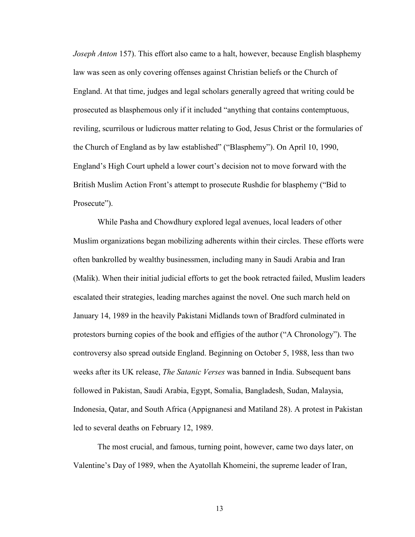*Joseph Anton* 157). This effort also came to a halt, however, because English blasphemy law was seen as only covering offenses against Christian beliefs or the Church of England. At that time, judges and legal scholars generally agreed that writing could be prosecuted as blasphemous only if it included "anything that contains contemptuous, reviling, scurrilous or ludicrous matter relating to God, Jesus Christ or the formularies of the Church of England as by law established" ("Blasphemy"). On April 10, 1990, England's High Court upheld a lower court's decision not to move forward with the British Muslim Action Front's attempt to prosecute Rushdie for blasphemy ("Bid to Prosecute").

While Pasha and Chowdhury explored legal avenues, local leaders of other Muslim organizations began mobilizing adherents within their circles. These efforts were often bankrolled by wealthy businessmen, including many in Saudi Arabia and Iran (Malik). When their initial judicial efforts to get the book retracted failed, Muslim leaders escalated their strategies, leading marches against the novel. One such march held on January 14, 1989 in the heavily Pakistani Midlands town of Bradford culminated in protestors burning copies of the book and effigies of the author ("A Chronology"). The controversy also spread outside England. Beginning on October 5, 1988, less than two weeks after its UK release, *The Satanic Verses* was banned in India. Subsequent bans followed in Pakistan, Saudi Arabia, Egypt, Somalia, Bangladesh, Sudan, Malaysia, Indonesia, Qatar, and South Africa (Appignanesi and Matiland 28). A protest in Pakistan led to several deaths on February 12, 1989.

The most crucial, and famous, turning point, however, came two days later, on Valentine's Day of 1989, when the Ayatollah Khomeini, the supreme leader of Iran,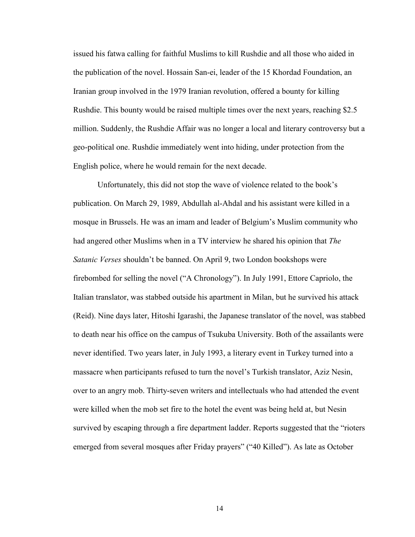issued his fatwa calling for faithful Muslims to kill Rushdie and all those who aided in the publication of the novel. Hossain San-ei, leader of the 15 Khordad Foundation, an Iranian group involved in the 1979 Iranian revolution, offered a bounty for killing Rushdie. This bounty would be raised multiple times over the next years, reaching \$2.5 million. Suddenly, the Rushdie Affair was no longer a local and literary controversy but a geo-political one. Rushdie immediately went into hiding, under protection from the English police, where he would remain for the next decade.

Unfortunately, this did not stop the wave of violence related to the book's publication. On March 29, 1989, Abdullah al-Ahdal and his assistant were killed in a mosque in Brussels. He was an imam and leader of Belgium's Muslim community who had angered other Muslims when in a TV interview he shared his opinion that *The Satanic Verses* shouldn't be banned. On April 9, two London bookshops were firebombed for selling the novel ("A Chronology"). In July 1991, Ettore Capriolo, the Italian translator, was stabbed outside his apartment in Milan, but he survived his attack (Reid). Nine days later, Hitoshi Igarashi, the Japanese translator of the novel, was stabbed to death near his office on the campus of Tsukuba University. Both of the assailants were never identified. Two years later, in July 1993, a literary event in Turkey turned into a massacre when participants refused to turn the novel's Turkish translator, Aziz Nesin, over to an angry mob. Thirty-seven writers and intellectuals who had attended the event were killed when the mob set fire to the hotel the event was being held at, but Nesin survived by escaping through a fire department ladder. Reports suggested that the "rioters emerged from several mosques after Friday prayers" ("40 Killed"). As late as October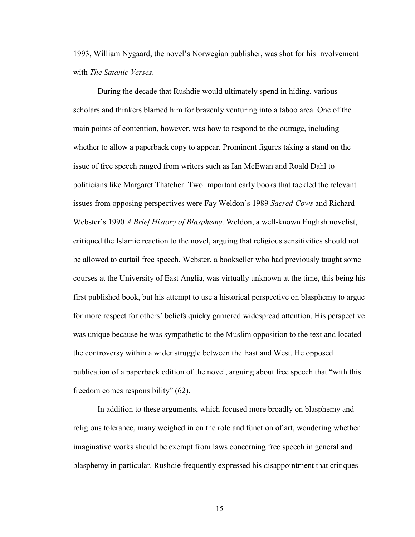1993, William Nygaard, the novel's Norwegian publisher, was shot for his involvement with *The Satanic Verses*.

During the decade that Rushdie would ultimately spend in hiding, various scholars and thinkers blamed him for brazenly venturing into a taboo area. One of the main points of contention, however, was how to respond to the outrage, including whether to allow a paperback copy to appear. Prominent figures taking a stand on the issue of free speech ranged from writers such as Ian McEwan and Roald Dahl to politicians like Margaret Thatcher. Two important early books that tackled the relevant issues from opposing perspectives were Fay Weldon's 1989 *Sacred Cows* and Richard Webster's 1990 *A Brief History of Blasphemy*. Weldon, a well-known English novelist, critiqued the Islamic reaction to the novel, arguing that religious sensitivities should not be allowed to curtail free speech. Webster, a bookseller who had previously taught some courses at the University of East Anglia, was virtually unknown at the time, this being his first published book, but his attempt to use a historical perspective on blasphemy to argue for more respect for others' beliefs quicky garnered widespread attention. His perspective was unique because he was sympathetic to the Muslim opposition to the text and located the controversy within a wider struggle between the East and West. He opposed publication of a paperback edition of the novel, arguing about free speech that "with this freedom comes responsibility" (62).

In addition to these arguments, which focused more broadly on blasphemy and religious tolerance, many weighed in on the role and function of art, wondering whether imaginative works should be exempt from laws concerning free speech in general and blasphemy in particular. Rushdie frequently expressed his disappointment that critiques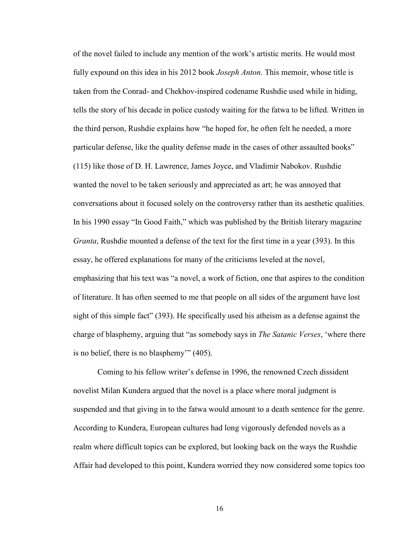of the novel failed to include any mention of the work's artistic merits. He would most fully expound on this idea in his 2012 book *Joseph Anton*. This memoir, whose title is taken from the Conrad- and Chekhov-inspired codename Rushdie used while in hiding, tells the story of his decade in police custody waiting for the fatwa to be lifted. Written in the third person, Rushdie explains how "he hoped for, he often felt he needed, a more particular defense, like the quality defense made in the cases of other assaulted books" (115) like those of D. H. Lawrence, James Joyce, and Vladimir Nabokov. Rushdie wanted the novel to be taken seriously and appreciated as art; he was annoyed that conversations about it focused solely on the controversy rather than its aesthetic qualities. In his 1990 essay "In Good Faith," which was published by the British literary magazine *Granta*, Rushdie mounted a defense of the text for the first time in a year (393). In this essay, he offered explanations for many of the criticisms leveled at the novel, emphasizing that his text was "a novel, a work of fiction, one that aspires to the condition of literature. It has often seemed to me that people on all sides of the argument have lost sight of this simple fact" (393). He specifically used his atheism as a defense against the charge of blasphemy, arguing that "as somebody says in *The Satanic Verses*, 'where there is no belief, there is no blasphemy'" (405).

Coming to his fellow writer's defense in 1996, the renowned Czech dissident novelist Milan Kundera argued that the novel is a place where moral judgment is suspended and that giving in to the fatwa would amount to a death sentence for the genre. According to Kundera, European cultures had long vigorously defended novels as a realm where difficult topics can be explored, but looking back on the ways the Rushdie Affair had developed to this point, Kundera worried they now considered some topics too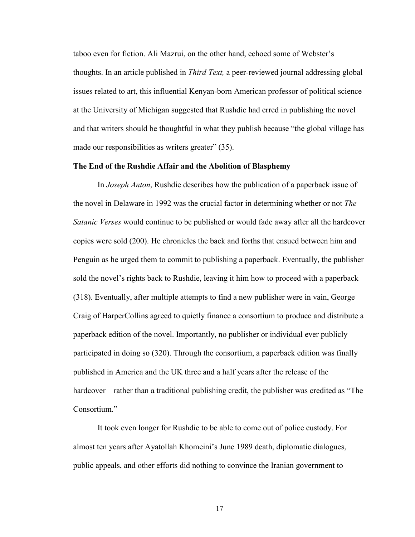taboo even for fiction. Ali Mazrui, on the other hand, echoed some of Webster's thoughts. In an article published in *Third Text,* a peer-reviewed journal addressing global issues related to art, this influential Kenyan-born American professor of political science at the University of Michigan suggested that Rushdie had erred in publishing the novel and that writers should be thoughtful in what they publish because "the global village has made our responsibilities as writers greater" (35).

### **The End of the Rushdie Affair and the Abolition of Blasphemy**

In *Joseph Anton*, Rushdie describes how the publication of a paperback issue of the novel in Delaware in 1992 was the crucial factor in determining whether or not *The Satanic Verses* would continue to be published or would fade away after all the hardcover copies were sold (200). He chronicles the back and forths that ensued between him and Penguin as he urged them to commit to publishing a paperback. Eventually, the publisher sold the novel's rights back to Rushdie, leaving it him how to proceed with a paperback (318). Eventually, after multiple attempts to find a new publisher were in vain, George Craig of HarperCollins agreed to quietly finance a consortium to produce and distribute a paperback edition of the novel. Importantly, no publisher or individual ever publicly participated in doing so (320). Through the consortium, a paperback edition was finally published in America and the UK three and a half years after the release of the hardcover—rather than a traditional publishing credit, the publisher was credited as "The Consortium."

It took even longer for Rushdie to be able to come out of police custody. For almost ten years after Ayatollah Khomeini's June 1989 death, diplomatic dialogues, public appeals, and other efforts did nothing to convince the Iranian government to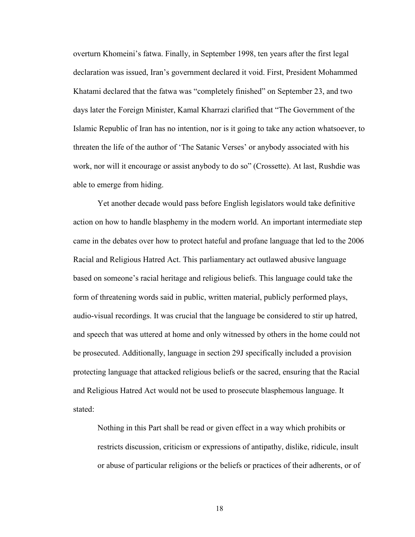overturn Khomeini's fatwa. Finally, in September 1998, ten years after the first legal declaration was issued, Iran's government declared it void. First, President Mohammed Khatami declared that the fatwa was "completely finished" on September 23, and two days later the Foreign Minister, Kamal Kharrazi clarified that "The Government of the Islamic Republic of Iran has no intention, nor is it going to take any action whatsoever, to threaten the life of the author of 'The Satanic Verses' or anybody associated with his work, nor will it encourage or assist anybody to do so" (Crossette). At last, Rushdie was able to emerge from hiding.

Yet another decade would pass before English legislators would take definitive action on how to handle blasphemy in the modern world. An important intermediate step came in the debates over how to protect hateful and profane language that led to the 2006 Racial and Religious Hatred Act. This parliamentary act outlawed abusive language based on someone's racial heritage and religious beliefs. This language could take the form of threatening words said in public, written material, publicly performed plays, audio-visual recordings. It was crucial that the language be considered to stir up hatred, and speech that was uttered at home and only witnessed by others in the home could not be prosecuted. Additionally, language in section 29J specifically included a provision protecting language that attacked religious beliefs or the sacred, ensuring that the Racial and Religious Hatred Act would not be used to prosecute blasphemous language. It stated:

Nothing in this Part shall be read or given effect in a way which prohibits or restricts discussion, criticism or expressions of antipathy, dislike, ridicule, insult or abuse of particular religions or the beliefs or practices of their adherents, or of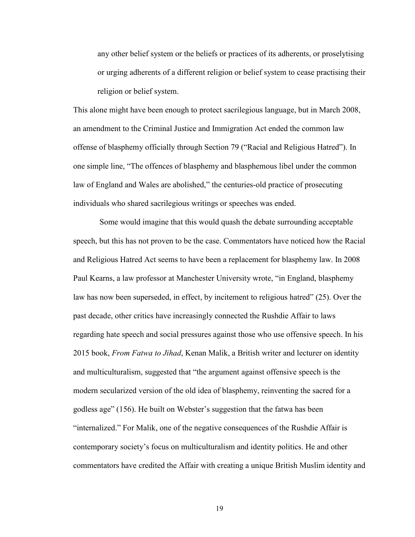any other belief system or the beliefs or practices of its adherents, or proselytising or urging adherents of a different religion or belief system to cease practising their religion or belief system.

This alone might have been enough to protect sacrilegious language, but in March 2008, an amendment to the Criminal Justice and Immigration Act ended the common law offense of blasphemy officially through Section 79 ("Racial and Religious Hatred"). In one simple line, "The offences of blasphemy and blasphemous libel under the common law of England and Wales are abolished," the centuries-old practice of prosecuting individuals who shared sacrilegious writings or speeches was ended.

Some would imagine that this would quash the debate surrounding acceptable speech, but this has not proven to be the case. Commentators have noticed how the Racial and Religious Hatred Act seems to have been a replacement for blasphemy law. In 2008 Paul Kearns, a law professor at Manchester University wrote, "in England, blasphemy law has now been superseded, in effect, by incitement to religious hatred" (25). Over the past decade, other critics have increasingly connected the Rushdie Affair to laws regarding hate speech and social pressures against those who use offensive speech. In his 2015 book, *From Fatwa to Jihad*, Kenan Malik, a British writer and lecturer on identity and multiculturalism, suggested that "the argument against offensive speech is the modern secularized version of the old idea of blasphemy, reinventing the sacred for a godless age" (156). He built on Webster's suggestion that the fatwa has been "internalized." For Malik, one of the negative consequences of the Rushdie Affair is contemporary society's focus on multiculturalism and identity politics. He and other commentators have credited the Affair with creating a unique British Muslim identity and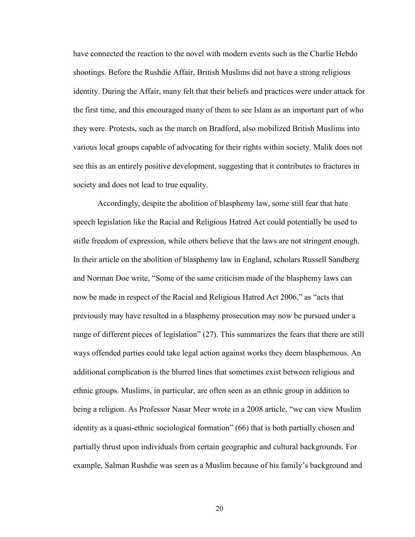have connected the reaction to the novel with modern events such as the Charlie Hebdo shootings. Before the Rushdie Affair, British Muslims did not have a strong religious identity. During the Affair, many felt that their beliefs and practices were under attack for the first time, and this encouraged many of them to see Islam as an important part of who they were. Protests, such as the march on Bradford, also mobilized British Muslims into various local groups capable of advocating for their rights within society. Malik does not see this as an entirely positive development, suggesting that it contributes to fractures in society and does not lead to true equality.

Accordingly, despite the abolition of blasphemy law, some still fear that hate speech legislation like the Racial and Religious Hatred Act could potentially be used to stifle freedom of expression, while others believe that the laws are not stringent enough. In their article on the abolition of blasphemy law in England, scholars Russell Sandberg and Norman Doe write, "Some of the same criticism made of the blasphemy laws can now be made in respect of the Racial and Religious Hatred Act 2006," as "acts that previously may have resulted in a blasphemy prosecution may now be pursued under a range of different pieces of legislation" (27). This summarizes the fears that there are still ways offended parties could take legal action against works they deem blasphemous. An additional complication is the blurred lines that sometimes exist between religious and ethnic groups. Muslims, in particular, are often seen as an ethnic group in addition to being a religion. As Professor Nasar Meer wrote in a 2008 article, "we can view Muslim identity as a quasi-ethnic sociological formation" (66) that is both partially chosen and partially thrust upon individuals from certain geographic and cultural backgrounds. For example, Salman Rushdie was seen as a Muslim because of his family's background and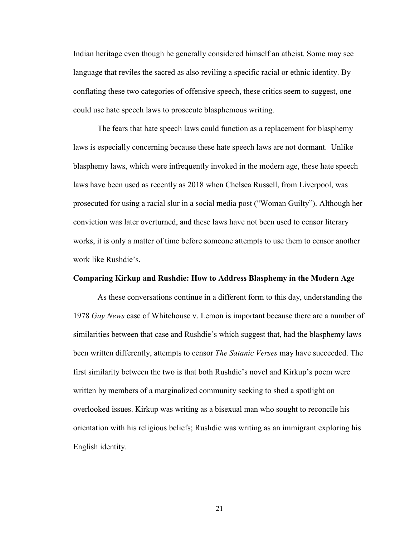Indian heritage even though he generally considered himself an atheist. Some may see language that reviles the sacred as also reviling a specific racial or ethnic identity. By conflating these two categories of offensive speech, these critics seem to suggest, one could use hate speech laws to prosecute blasphemous writing.

The fears that hate speech laws could function as a replacement for blasphemy laws is especially concerning because these hate speech laws are not dormant. Unlike blasphemy laws, which were infrequently invoked in the modern age, these hate speech laws have been used as recently as 2018 when Chelsea Russell, from Liverpool, was prosecuted for using a racial slur in a social media post ("Woman Guilty"). Although her conviction was later overturned, and these laws have not been used to censor literary works, it is only a matter of time before someone attempts to use them to censor another work like Rushdie's.

#### **Comparing Kirkup and Rushdie: How to Address Blasphemy in the Modern Age**

As these conversations continue in a different form to this day, understanding the 1978 *Gay News* case of Whitehouse v. Lemon is important because there are a number of similarities between that case and Rushdie's which suggest that, had the blasphemy laws been written differently, attempts to censor *The Satanic Verses* may have succeeded. The first similarity between the two is that both Rushdie's novel and Kirkup's poem were written by members of a marginalized community seeking to shed a spotlight on overlooked issues. Kirkup was writing as a bisexual man who sought to reconcile his orientation with his religious beliefs; Rushdie was writing as an immigrant exploring his English identity.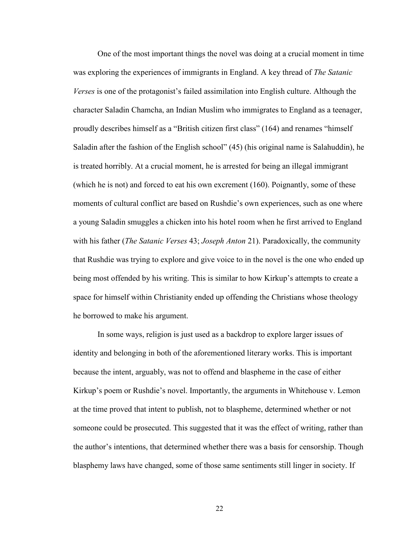One of the most important things the novel was doing at a crucial moment in time was exploring the experiences of immigrants in England. A key thread of *The Satanic Verses* is one of the protagonist's failed assimilation into English culture. Although the character Saladin Chamcha, an Indian Muslim who immigrates to England as a teenager, proudly describes himself as a "British citizen first class" (164) and renames "himself Saladin after the fashion of the English school" (45) (his original name is Salahuddin), he is treated horribly. At a crucial moment, he is arrested for being an illegal immigrant (which he is not) and forced to eat his own excrement (160). Poignantly, some of these moments of cultural conflict are based on Rushdie's own experiences, such as one where a young Saladin smuggles a chicken into his hotel room when he first arrived to England with his father (*The Satanic Verses* 43; *Joseph Anton* 21). Paradoxically, the community that Rushdie was trying to explore and give voice to in the novel is the one who ended up being most offended by his writing. This is similar to how Kirkup's attempts to create a space for himself within Christianity ended up offending the Christians whose theology he borrowed to make his argument.

In some ways, religion is just used as a backdrop to explore larger issues of identity and belonging in both of the aforementioned literary works. This is important because the intent, arguably, was not to offend and blaspheme in the case of either Kirkup's poem or Rushdie's novel. Importantly, the arguments in Whitehouse v. Lemon at the time proved that intent to publish, not to blaspheme, determined whether or not someone could be prosecuted. This suggested that it was the effect of writing, rather than the author's intentions, that determined whether there was a basis for censorship. Though blasphemy laws have changed, some of those same sentiments still linger in society. If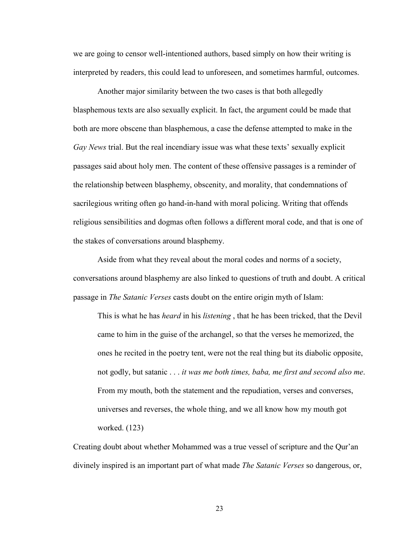we are going to censor well-intentioned authors, based simply on how their writing is interpreted by readers, this could lead to unforeseen, and sometimes harmful, outcomes.

Another major similarity between the two cases is that both allegedly blasphemous texts are also sexually explicit. In fact, the argument could be made that both are more obscene than blasphemous, a case the defense attempted to make in the *Gay News* trial. But the real incendiary issue was what these texts' sexually explicit passages said about holy men. The content of these offensive passages is a reminder of the relationship between blasphemy, obscenity, and morality, that condemnations of sacrilegious writing often go hand-in-hand with moral policing. Writing that offends religious sensibilities and dogmas often follows a different moral code, and that is one of the stakes of conversations around blasphemy.

Aside from what they reveal about the moral codes and norms of a society, conversations around blasphemy are also linked to questions of truth and doubt. A critical passage in *The Satanic Verses* casts doubt on the entire origin myth of Islam:

This is what he has *heard* in his *listening* , that he has been tricked, that the Devil came to him in the guise of the archangel, so that the verses he memorized, the ones he recited in the poetry tent, were not the real thing but its diabolic opposite, not godly, but satanic . . . *it was me both times, baba, me first and second also me*. From my mouth, both the statement and the repudiation, verses and converses, universes and reverses, the whole thing, and we all know how my mouth got worked. (123)

Creating doubt about whether Mohammed was a true vessel of scripture and the Qur'an divinely inspired is an important part of what made *The Satanic Verses* so dangerous, or,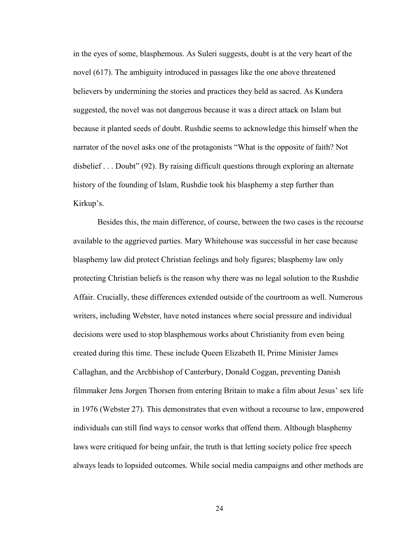in the eyes of some, blasphemous. As Suleri suggests, doubt is at the very heart of the novel (617). The ambiguity introduced in passages like the one above threatened believers by undermining the stories and practices they held as sacred. As Kundera suggested, the novel was not dangerous because it was a direct attack on Islam but because it planted seeds of doubt. Rushdie seems to acknowledge this himself when the narrator of the novel asks one of the protagonists "What is the opposite of faith? Not disbelief . . . Doubt" (92). By raising difficult questions through exploring an alternate history of the founding of Islam, Rushdie took his blasphemy a step further than Kirkup's.

Besides this, the main difference, of course, between the two cases is the recourse available to the aggrieved parties. Mary Whitehouse was successful in her case because blasphemy law did protect Christian feelings and holy figures; blasphemy law only protecting Christian beliefs is the reason why there was no legal solution to the Rushdie Affair. Crucially, these differences extended outside of the courtroom as well. Numerous writers, including Webster, have noted instances where social pressure and individual decisions were used to stop blasphemous works about Christianity from even being created during this time. These include Queen Elizabeth II, Prime Minister James Callaghan, and the Archbishop of Canterbury, Donald Coggan, preventing Danish filmmaker Jens Jorgen Thorsen from entering Britain to make a film about Jesus' sex life in 1976 (Webster 27). This demonstrates that even without a recourse to law, empowered individuals can still find ways to censor works that offend them. Although blasphemy laws were critiqued for being unfair, the truth is that letting society police free speech always leads to lopsided outcomes. While social media campaigns and other methods are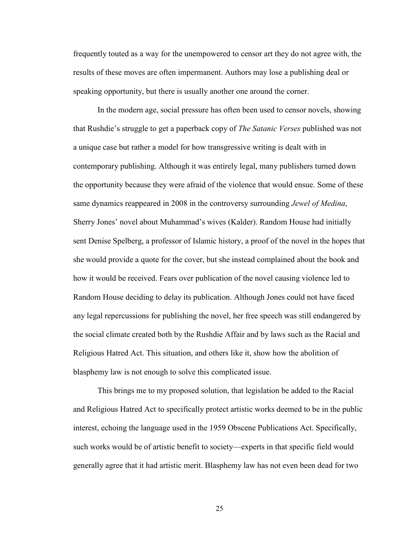frequently touted as a way for the unempowered to censor art they do not agree with, the results of these moves are often impermanent. Authors may lose a publishing deal or speaking opportunity, but there is usually another one around the corner.

In the modern age, social pressure has often been used to censor novels, showing that Rushdie's struggle to get a paperback copy of *The Satanic Verses* published was not a unique case but rather a model for how transgressive writing is dealt with in contemporary publishing. Although it was entirely legal, many publishers turned down the opportunity because they were afraid of the violence that would ensue. Some of these same dynamics reappeared in 2008 in the controversy surrounding *Jewel of Medina*, Sherry Jones' novel about Muhammad's wives (Kalder). Random House had initially sent Denise Spelberg, a professor of Islamic history, a proof of the novel in the hopes that she would provide a quote for the cover, but she instead complained about the book and how it would be received. Fears over publication of the novel causing violence led to Random House deciding to delay its publication. Although Jones could not have faced any legal repercussions for publishing the novel, her free speech was still endangered by the social climate created both by the Rushdie Affair and by laws such as the Racial and Religious Hatred Act. This situation, and others like it, show how the abolition of blasphemy law is not enough to solve this complicated issue.

This brings me to my proposed solution, that legislation be added to the Racial and Religious Hatred Act to specifically protect artistic works deemed to be in the public interest, echoing the language used in the 1959 Obscene Publications Act. Specifically, such works would be of artistic benefit to society—experts in that specific field would generally agree that it had artistic merit. Blasphemy law has not even been dead for two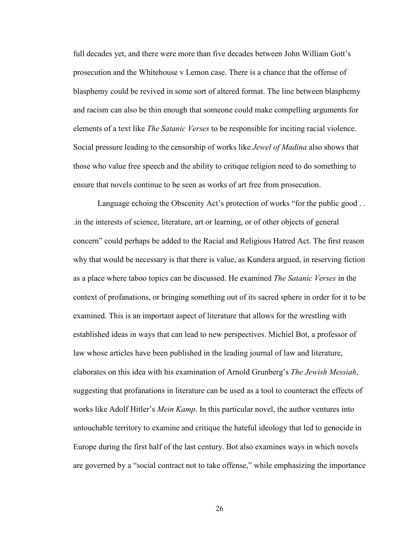full decades yet, and there were more than five decades between John William Gott's prosecution and the Whitehouse v Lemon case. There is a chance that the offense of blasphemy could be revived in some sort of altered format. The line between blasphemy and racism can also be thin enough that someone could make compelling arguments for elements of a text like *The Satanic Verses* to be responsible for inciting racial violence. Social pressure leading to the censorship of works like *Jewel of Madina* also shows that those who value free speech and the ability to critique religion need to do something to ensure that novels continue to be seen as works of art free from prosecution.

Language echoing the Obscenity Act's protection of works "for the public good . . .in the interests of science, literature, art or learning, or of other objects of general concern" could perhaps be added to the Racial and Religious Hatred Act. The first reason why that would be necessary is that there is value, as Kundera argued, in reserving fiction as a place where taboo topics can be discussed. He examined *The Satanic Verses* in the context of profanations, or bringing something out of its sacred sphere in order for it to be examined. This is an important aspect of literature that allows for the wrestling with established ideas in ways that can lead to new perspectives. Michiel Bot, a professor of law whose articles have been published in the leading journal of law and literature, elaborates on this idea with his examination of Arnold Grunberg's *The Jewish Messiah*, suggesting that profanations in literature can be used as a tool to counteract the effects of works like Adolf Hitler's *Mein Kamp*. In this particular novel, the author ventures into untouchable territory to examine and critique the hateful ideology that led to genocide in Europe during the first half of the last century. Bot also examines ways in which novels are governed by a "social contract not to take offense," while emphasizing the importance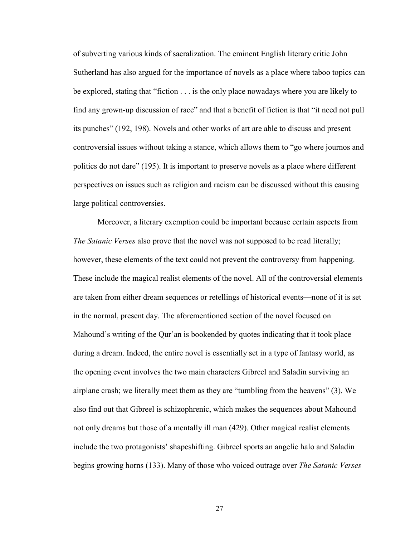of subverting various kinds of sacralization. The eminent English literary critic John Sutherland has also argued for the importance of novels as a place where taboo topics can be explored, stating that "fiction . . . is the only place nowadays where you are likely to find any grown-up discussion of race" and that a benefit of fiction is that "it need not pull its punches" (192, 198). Novels and other works of art are able to discuss and present controversial issues without taking a stance, which allows them to "go where journos and politics do not dare" (195). It is important to preserve novels as a place where different perspectives on issues such as religion and racism can be discussed without this causing large political controversies.

Moreover, a literary exemption could be important because certain aspects from *The Satanic Verses* also prove that the novel was not supposed to be read literally; however, these elements of the text could not prevent the controversy from happening. These include the magical realist elements of the novel. All of the controversial elements are taken from either dream sequences or retellings of historical events—none of it is set in the normal, present day. The aforementioned section of the novel focused on Mahound's writing of the Qur'an is bookended by quotes indicating that it took place during a dream. Indeed, the entire novel is essentially set in a type of fantasy world, as the opening event involves the two main characters Gibreel and Saladin surviving an airplane crash; we literally meet them as they are "tumbling from the heavens" (3). We also find out that Gibreel is schizophrenic, which makes the sequences about Mahound not only dreams but those of a mentally ill man (429). Other magical realist elements include the two protagonists' shapeshifting. Gibreel sports an angelic halo and Saladin begins growing horns (133). Many of those who voiced outrage over *The Satanic Verses*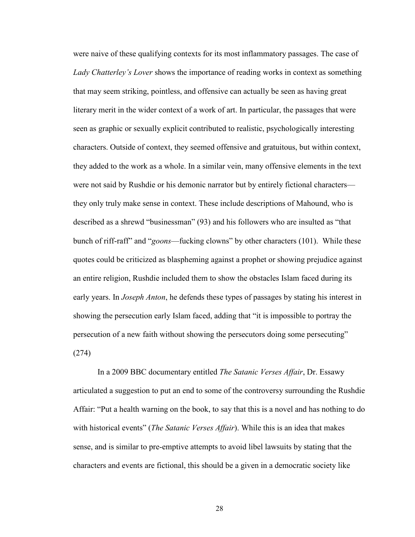were naive of these qualifying contexts for its most inflammatory passages. The case of *Lady Chatterley's Lover* shows the importance of reading works in context as something that may seem striking, pointless, and offensive can actually be seen as having great literary merit in the wider context of a work of art. In particular, the passages that were seen as graphic or sexually explicit contributed to realistic, psychologically interesting characters. Outside of context, they seemed offensive and gratuitous, but within context, they added to the work as a whole. In a similar vein, many offensive elements in the text were not said by Rushdie or his demonic narrator but by entirely fictional characters they only truly make sense in context. These include descriptions of Mahound, who is described as a shrewd "businessman" (93) and his followers who are insulted as "that bunch of riff-raff" and "*goons*—fucking clowns" by other characters (101). While these quotes could be criticized as blaspheming against a prophet or showing prejudice against an entire religion, Rushdie included them to show the obstacles Islam faced during its early years. In *Joseph Anton*, he defends these types of passages by stating his interest in showing the persecution early Islam faced, adding that "it is impossible to portray the persecution of a new faith without showing the persecutors doing some persecuting" (274)

In a 2009 BBC documentary entitled *The Satanic Verses Affair*, Dr. Essawy articulated a suggestion to put an end to some of the controversy surrounding the Rushdie Affair: "Put a health warning on the book, to say that this is a novel and has nothing to do with historical events" (*The Satanic Verses Affair*). While this is an idea that makes sense, and is similar to pre-emptive attempts to avoid libel lawsuits by stating that the characters and events are fictional, this should be a given in a democratic society like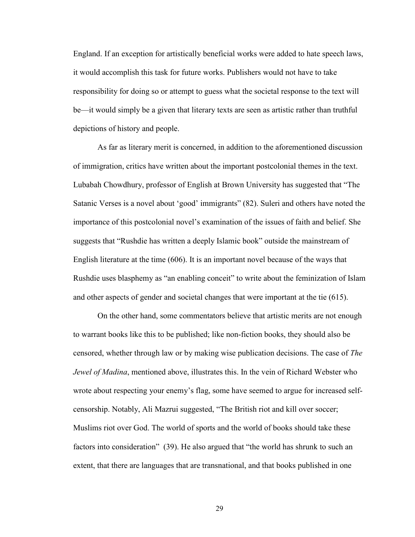England. If an exception for artistically beneficial works were added to hate speech laws, it would accomplish this task for future works. Publishers would not have to take responsibility for doing so or attempt to guess what the societal response to the text will be—it would simply be a given that literary texts are seen as artistic rather than truthful depictions of history and people.

As far as literary merit is concerned, in addition to the aforementioned discussion of immigration, critics have written about the important postcolonial themes in the text. Lubabah Chowdhury, professor of English at Brown University has suggested that "The Satanic Verses is a novel about 'good' immigrants" (82). Suleri and others have noted the importance of this postcolonial novel's examination of the issues of faith and belief. She suggests that "Rushdie has written a deeply Islamic book" outside the mainstream of English literature at the time (606). It is an important novel because of the ways that Rushdie uses blasphemy as "an enabling conceit" to write about the feminization of Islam and other aspects of gender and societal changes that were important at the tie (615).

On the other hand, some commentators believe that artistic merits are not enough to warrant books like this to be published; like non-fiction books, they should also be censored, whether through law or by making wise publication decisions. The case of *The Jewel of Madina*, mentioned above, illustrates this. In the vein of Richard Webster who wrote about respecting your enemy's flag, some have seemed to argue for increased selfcensorship. Notably, Ali Mazrui suggested, "The British riot and kill over soccer; Muslims riot over God. The world of sports and the world of books should take these factors into consideration" (39). He also argued that "the world has shrunk to such an extent, that there are languages that are transnational, and that books published in one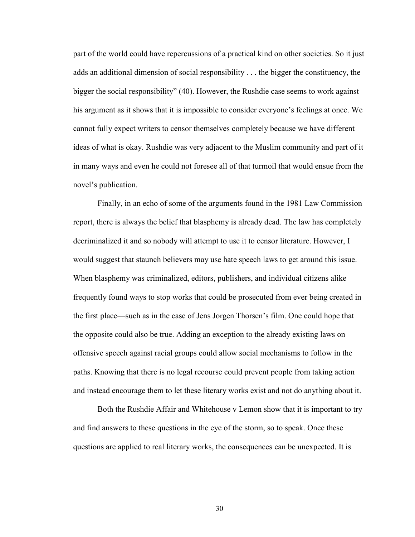part of the world could have repercussions of a practical kind on other societies. So it just adds an additional dimension of social responsibility . . . the bigger the constituency, the bigger the social responsibility" (40). However, the Rushdie case seems to work against his argument as it shows that it is impossible to consider everyone's feelings at once. We cannot fully expect writers to censor themselves completely because we have different ideas of what is okay. Rushdie was very adjacent to the Muslim community and part of it in many ways and even he could not foresee all of that turmoil that would ensue from the novel's publication.

Finally, in an echo of some of the arguments found in the 1981 Law Commission report, there is always the belief that blasphemy is already dead. The law has completely decriminalized it and so nobody will attempt to use it to censor literature. However, I would suggest that staunch believers may use hate speech laws to get around this issue. When blasphemy was criminalized, editors, publishers, and individual citizens alike frequently found ways to stop works that could be prosecuted from ever being created in the first place—such as in the case of Jens Jorgen Thorsen's film. One could hope that the opposite could also be true. Adding an exception to the already existing laws on offensive speech against racial groups could allow social mechanisms to follow in the paths. Knowing that there is no legal recourse could prevent people from taking action and instead encourage them to let these literary works exist and not do anything about it.

Both the Rushdie Affair and Whitehouse v Lemon show that it is important to try and find answers to these questions in the eye of the storm, so to speak. Once these questions are applied to real literary works, the consequences can be unexpected. It is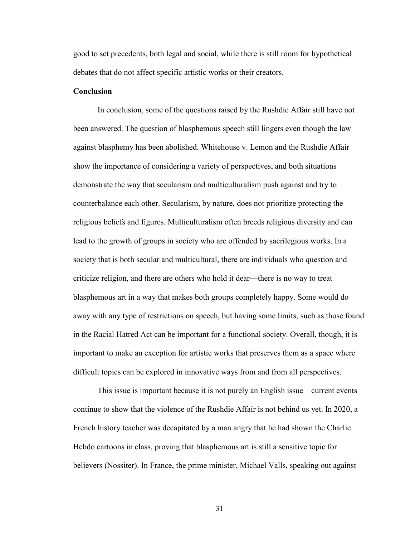good to set precedents, both legal and social, while there is still room for hypothetical debates that do not affect specific artistic works or their creators.

### **Conclusion**

In conclusion, some of the questions raised by the Rushdie Affair still have not been answered. The question of blasphemous speech still lingers even though the law against blasphemy has been abolished. Whitehouse v. Lemon and the Rushdie Affair show the importance of considering a variety of perspectives, and both situations demonstrate the way that secularism and multiculturalism push against and try to counterbalance each other. Secularism, by nature, does not prioritize protecting the religious beliefs and figures. Multiculturalism often breeds religious diversity and can lead to the growth of groups in society who are offended by sacrilegious works. In a society that is both secular and multicultural, there are individuals who question and criticize religion, and there are others who hold it dear—there is no way to treat blasphemous art in a way that makes both groups completely happy. Some would do away with any type of restrictions on speech, but having some limits, such as those found in the Racial Hatred Act can be important for a functional society. Overall, though, it is important to make an exception for artistic works that preserves them as a space where difficult topics can be explored in innovative ways from and from all perspectives.

This issue is important because it is not purely an English issue—current events continue to show that the violence of the Rushdie Affair is not behind us yet. In 2020, a French history teacher was decapitated by a man angry that he had shown the Charlie Hebdo cartoons in class, proving that blasphemous art is still a sensitive topic for believers (Nossiter). In France, the prime minister, Michael Valls, speaking out against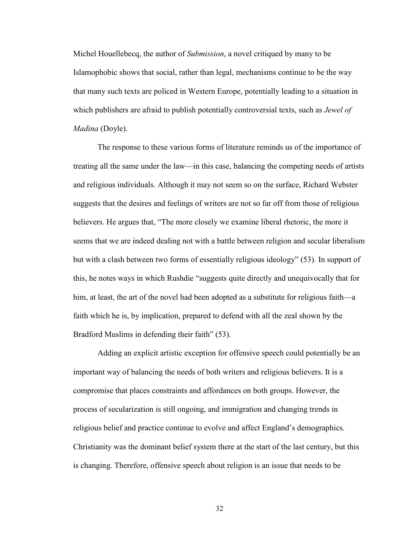Michel Houellebecq, the author of *Submission*, a novel critiqued by many to be Islamophobic shows that social, rather than legal, mechanisms continue to be the way that many such texts are policed in Western Europe, potentially leading to a situation in which publishers are afraid to publish potentially controversial texts, such as *Jewel of Madina* (Doyle).

The response to these various forms of literature reminds us of the importance of treating all the same under the law—in this case, balancing the competing needs of artists and religious individuals. Although it may not seem so on the surface, Richard Webster suggests that the desires and feelings of writers are not so far off from those of religious believers. He argues that, "The more closely we examine liberal rhetoric, the more it seems that we are indeed dealing not with a battle between religion and secular liberalism but with a clash between two forms of essentially religious ideology" (53). In support of this, he notes ways in which Rushdie "suggests quite directly and unequivocally that for him, at least, the art of the novel had been adopted as a substitute for religious faith—a faith which he is, by implication, prepared to defend with all the zeal shown by the Bradford Muslims in defending their faith" (53).

Adding an explicit artistic exception for offensive speech could potentially be an important way of balancing the needs of both writers and religious believers. It is a compromise that places constraints and affordances on both groups. However, the process of secularization is still ongoing, and immigration and changing trends in religious belief and practice continue to evolve and affect England's demographics. Christianity was the dominant belief system there at the start of the last century, but this is changing. Therefore, offensive speech about religion is an issue that needs to be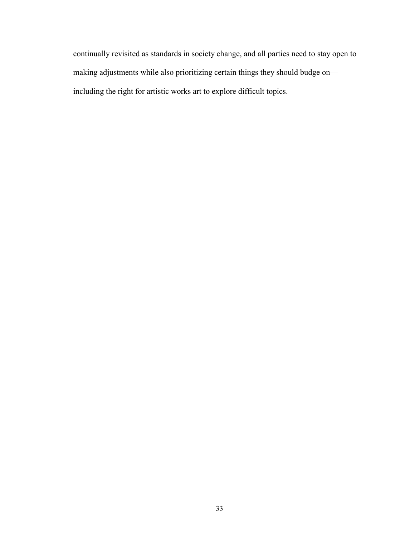continually revisited as standards in society change, and all parties need to stay open to making adjustments while also prioritizing certain things they should budge on including the right for artistic works art to explore difficult topics.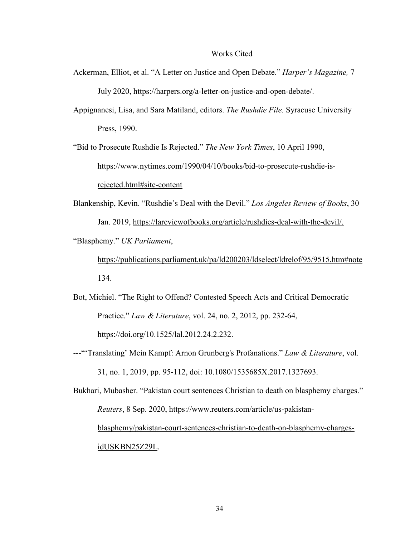#### Works Cited

- Ackerman, Elliot, et al. "A Letter on Justice and Open Debate." *Harper's Magazine,* 7 July 2020, [https://harpers.org/a-letter-on-justice-and-open-debate/.](https://harpers.org/a-letter-on-justice-and-open-debate/)
- Appignanesi, Lisa, and Sara Matiland, editors. *The Rushdie File.* Syracuse University Press, 1990.

"Bid to Prosecute Rushdie Is Rejected." *The New York Times*, 10 April 1990, [https://www.nytimes.com/1990/04/10/books/bid-to-prosecute-rushdie-is](https://www.nytimes.com/1990/04/10/books/bid-to-prosecute-rushdie-is-rejected.html#site-content)[rejected.html#site-content](https://www.nytimes.com/1990/04/10/books/bid-to-prosecute-rushdie-is-rejected.html#site-content) 

Blankenship, Kevin. "Rushdie's Deal with the Devil." *Los Angeles Review of Books*, 30 Jan. 2019, [https://lareviewofbooks.org/article/rushdies-deal-with-the-devil/.](https://lareviewofbooks.org/article/rushdies-deal-with-the-devil/)

"Blasphemy." *UK Parliament*,

[https://publications.parliament.uk/pa/ld200203/ldselect/ldrelof/95/9515.htm#note](https://publications.parliament.uk/pa/ld200203/ldselect/ldrelof/95/9515.htm#note134) [134.](https://publications.parliament.uk/pa/ld200203/ldselect/ldrelof/95/9515.htm#note134)

Bot, Michiel. "The Right to Offend? Contested Speech Acts and Critical Democratic Practice." *Law & Literature*, vol. 24, no. 2, 2012, pp. 232-64,

[https://doi.org/10.1525/lal.2012.24.2.232.](https://doi.org/10.1525/lal.2012.24.2.232)

---"'Translating' Mein Kampf: Arnon Grunberg's Profanations." *Law & Literature*, vol. 31, no. 1, 2019, pp. 95-112, doi: 10.1080/1535685X.2017.1327693.

Bukhari, Mubasher. "Pakistan court sentences Christian to death on blasphemy charges." *Reuters*, 8 Sep. 2020, [https://www.reuters.com/article/us-pakistan](https://www.reuters.com/article/us-pakistan-blasphemy/pakistan-court-sentences-christian-to-death-on-blasphemy-charges-idUSKBN25Z29L)[blasphemy/pakistan-court-sentences-christian-to-death-on-blasphemy-charges](https://www.reuters.com/article/us-pakistan-blasphemy/pakistan-court-sentences-christian-to-death-on-blasphemy-charges-idUSKBN25Z29L)[idUSKBN25Z29L.](https://www.reuters.com/article/us-pakistan-blasphemy/pakistan-court-sentences-christian-to-death-on-blasphemy-charges-idUSKBN25Z29L)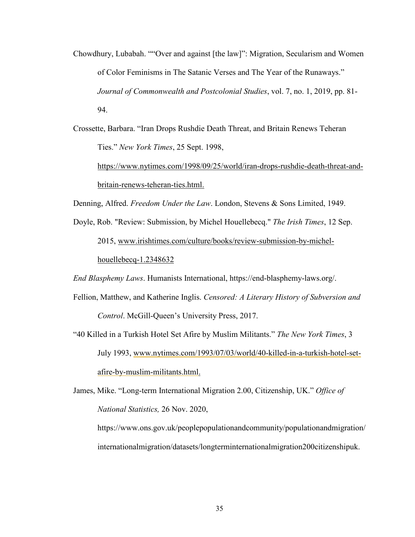- Chowdhury, Lubabah. ""Over and against [the law]": Migration, Secularism and Women of Color Feminisms in The Satanic Verses and The Year of the Runaways." *Journal of Commonwealth and Postcolonial Studies*, vol. 7, no. 1, 2019, pp. 81- 94.
- Crossette, Barbara. "Iran Drops Rushdie Death Threat, and Britain Renews Teheran Ties." *New York Times*, 25 Sept. 1998,

[https://www.nytimes.com/1998/09/25/world/iran-drops-rushdie-death-threat-and](https://www.nytimes.com/1998/09/25/world/iran-drops-rushdie-death-threat-and-britain-renews-teheran-ties.html)[britain-renews-teheran-ties.html.](https://www.nytimes.com/1998/09/25/world/iran-drops-rushdie-death-threat-and-britain-renews-teheran-ties.html)

Denning, Alfred. *Freedom Under the Law*. London, Stevens & Sons Limited, 1949.

Doyle, Rob. "Review: Submission, by Michel Houellebecq." *The Irish Times*, 12 Sep. 2015, [www.irishtimes.com/culture/books/review-submission-by-michel](http://www.irishtimes.com/culture/books/review-submission-by-michel-houellebecq-1.2348632)[houellebecq-1.2348632](http://www.irishtimes.com/culture/books/review-submission-by-michel-houellebecq-1.2348632)

*End Blasphemy Laws*. Humanists International, [https://end-blasphemy-laws.org/.](https://end-blasphemy-laws.org/)

- Fellion, Matthew, and Katherine Inglis. *Censored: A Literary History of Subversion and Control*. McGill-Queen's University Press, 2017.
- "40 Killed in a Turkish Hotel Set Afire by Muslim Militants." *The New York Times*, 3 July 1993, www.nytimes.com/1993/07/03/world/40-killed-in-a-turkish-hotel-setafire-by-muslim-militants.html.

James, Mike. "Long-term International Migration 2.00, Citizenship, UK." *Office of National Statistics,* 26 Nov. 2020,

[https://www.ons.gov.uk/peoplepopulationandcommunity/populationandmigration/](https://www.ons.gov.uk/peoplepopulationandcommunity/populationandmigration/internationalmigration/datasets/longterminternationalmigration200citizenshipuk) [internationalmigration/datasets/longterminternationalmigration200citizenshipuk.](https://www.ons.gov.uk/peoplepopulationandcommunity/populationandmigration/internationalmigration/datasets/longterminternationalmigration200citizenshipuk)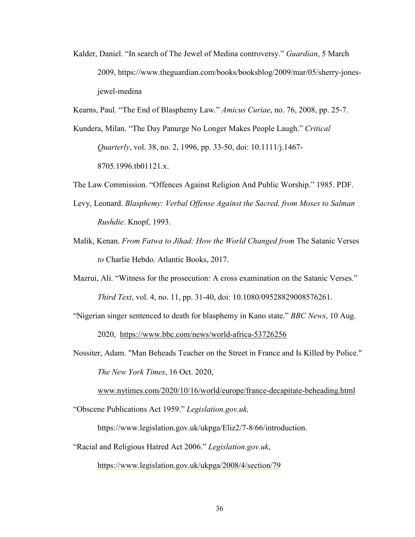- Kalder, Daniel. "In search of The Jewel of Medina controversy." *Guardian*, 5 March 2009, https://www.theguardian.com/books/booksblog/2009/mar/05/sherry-jonesjewel-medina
- Kearns, Paul. "The End of Blasphemy Law." *Amicus Curiae*, no. 76, 2008, pp. 25-7.
- Kundera, Milan. "The Day Panurge No Longer Makes People Laugh." *Critical Quarterly*, vol. 38, no. 2, 1996, pp. 33-50, doi: 10.1111/j.1467- 8705.1996.tb01121.x.
- The Law Commission. "Offences Against Religion And Public Worship." 1985. PDF.
- Levy, Leonard. *Blasphemy: Verbal Offense Against the Sacred, from Moses to Salman Rushdie*. Knopf, 1993.
- Malik, Kenan. *From Fatwa to Jihad: How the World Changed from* The Satanic Verses *to* Charlie Hebdo. Atlantic Books, 2017.
- Mazrui, Ali. "Witness for the prosecution: A cross examination on the Satanic Verses." *Third Text*, vol. 4, no. 11, pp. 31-40, doi: 10.1080/09528829008576261.
- "Nigerian singer sentenced to death for blasphemy in Kano state." *BBC News*, 10 Aug.

2020, <https://www.bbc.com/news/world-africa-53726256>

Nossiter, Adam. "Man Beheads Teacher on the Street in France and Is Killed by Police." *The New York Times*, 16 Oct. 2020,

[www.nytimes.com/2020/10/16/world/europe/france-decapitate-beheading.html](http://www.nytimes.com/2020/10/16/world/europe/france-decapitate-beheading.html)

"Obscene Publications Act 1959." *[Legislation.gov.uk,](http://legislation.gov.uk/)* 

[https://www.legislation.gov.uk/ukpga/Eliz2/7-8/66/introduction.](https://www.legislation.gov.uk/ukpga/Eliz2/7-8/66/introduction)

"Racial and Religious Hatred Act 2006." *[Legislation.gov.uk](http://legislation.gov.uk/)*,

<https://www.legislation.gov.uk/ukpga/2008/4/section/79>